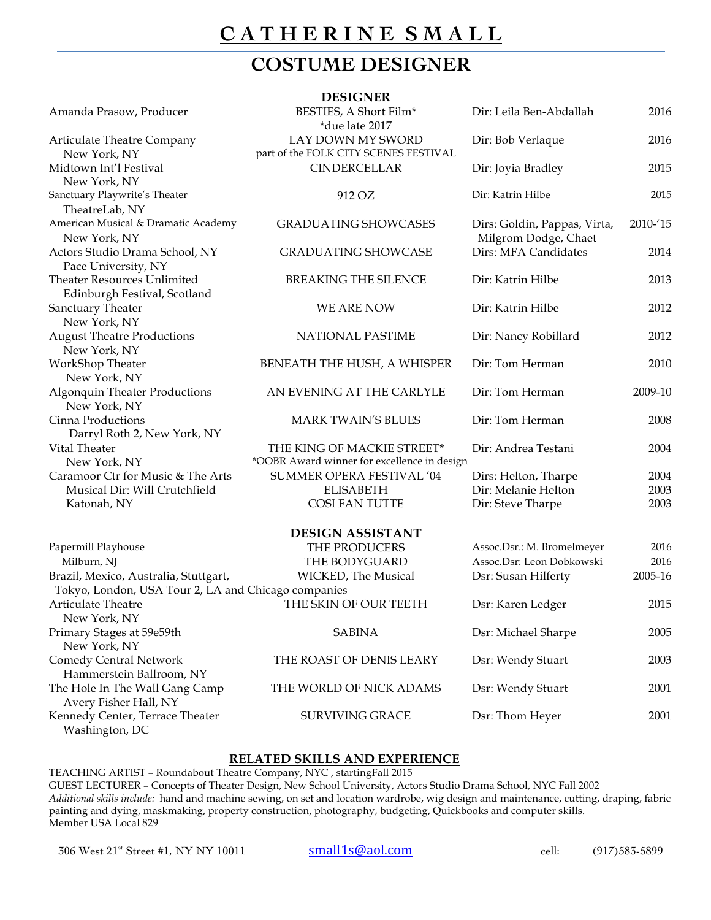# **C A T H E R I N E S M A L L**

### **COSTUME DESIGNER**

|                                                                             | <b>DESIGNER</b>                                                           |                                                                                |                         |
|-----------------------------------------------------------------------------|---------------------------------------------------------------------------|--------------------------------------------------------------------------------|-------------------------|
| Amanda Prasow, Producer                                                     | BESTIES, A Short Film*<br>*due late 2017                                  | Dir: Leila Ben-Abdallah                                                        | 2016                    |
| Articulate Theatre Company<br>New York, NY                                  | LAY DOWN MY SWORD<br>part of the FOLK CITY SCENES FESTIVAL                | Dir: Bob Verlaque                                                              | 2016                    |
| Midtown Int'l Festival<br>New York, NY                                      | <b>CINDERCELLAR</b>                                                       | Dir: Joyia Bradley                                                             | 2015                    |
| Sanctuary Playwrite's Theater                                               | 912 OZ                                                                    | Dir: Katrin Hilbe                                                              | 2015                    |
| TheatreLab, NY<br>American Musical & Dramatic Academy                       | <b>GRADUATING SHOWCASES</b>                                               | Dirs: Goldin, Pappas, Virta,                                                   | 2010-'15                |
| New York, NY<br>Actors Studio Drama School, NY<br>Pace University, NY       | <b>GRADUATING SHOWCASE</b>                                                | Milgrom Dodge, Chaet<br>Dirs: MFA Candidates                                   | 2014                    |
| <b>Theater Resources Unlimited</b><br>Edinburgh Festival, Scotland          | BREAKING THE SILENCE                                                      | Dir: Katrin Hilbe                                                              | 2013                    |
| Sanctuary Theater<br>New York, NY                                           | WE ARE NOW                                                                | Dir: Katrin Hilbe                                                              | 2012                    |
| <b>August Theatre Productions</b><br>New York, NY                           | <b>NATIONAL PASTIME</b>                                                   | Dir: Nancy Robillard                                                           | 2012                    |
| WorkShop Theater<br>New York, NY                                            | BENEATH THE HUSH, A WHISPER                                               | Dir: Tom Herman                                                                | 2010                    |
| <b>Algonquin Theater Productions</b><br>New York, NY                        | AN EVENING AT THE CARLYLE                                                 | Dir: Tom Herman                                                                | 2009-10                 |
| Cinna Productions<br>Darryl Roth 2, New York, NY                            | <b>MARK TWAIN'S BLUES</b>                                                 | Dir: Tom Herman                                                                | 2008                    |
| Vital Theater<br>New York, NY                                               | THE KING OF MACKIE STREET*<br>*OOBR Award winner for excellence in design | Dir: Andrea Testani                                                            | 2004                    |
| Caramoor Ctr for Music & The Arts<br>Musical Dir: Will Crutchfield          | SUMMER OPERA FESTIVAL '04<br><b>ELISABETH</b>                             | Dirs: Helton, Tharpe<br>Dir: Melanie Helton                                    | 2004<br>2003            |
| Katonah, NY                                                                 | <b>COSI FAN TUTTE</b>                                                     | Dir: Steve Tharpe                                                              | 2003                    |
|                                                                             | <b>DESIGN ASSISTANT</b>                                                   |                                                                                |                         |
| Papermill Playhouse<br>Milburn, NJ<br>Brazil, Mexico, Australia, Stuttgart, | THE PRODUCERS<br>THE BODYGUARD<br>WICKED, The Musical                     | Assoc.Dsr.: M. Bromelmeyer<br>Assoc.Dsr: Leon Dobkowski<br>Dsr: Susan Hilferty | 2016<br>2016<br>2005-16 |
| Tokyo, London, USA Tour 2, LA and Chicago companies                         |                                                                           |                                                                                |                         |
| Articulate Theatre<br>New York, NY                                          | THE SKIN OF OUR TEETH                                                     | Dsr: Karen Ledger                                                              | 2015                    |
| Primary Stages at 59e59th<br>New York, NY                                   | <b>SABINA</b>                                                             | Dsr: Michael Sharpe                                                            | 2005                    |
| <b>Comedy Central Network</b><br>Hammerstein Ballroom, NY                   | THE ROAST OF DENIS LEARY                                                  | Dsr: Wendy Stuart                                                              | 2003                    |
| The Hole In The Wall Gang Camp<br>Avery Fisher Hall, NY                     | THE WORLD OF NICK ADAMS                                                   | Dsr: Wendy Stuart                                                              | 2001                    |
| Kennedy Center, Terrace Theater<br>Washington, DC                           | <b>SURVIVING GRACE</b>                                                    | Dsr: Thom Heyer                                                                | 2001                    |

#### **RELATED SKILLS AND EXPERIENCE**

TEACHING ARTIST – Roundabout Theatre Company, NYC , startingFall 2015

GUEST LECTURER – Concepts of Theater Design, New School University, Actors Studio Drama School, NYC Fall 2002

*Additional skills include:* hand and machine sewing, on set and location wardrobe, wig design and maintenance, cutting, draping, fabric painting and dying, maskmaking, property construction, photography, budgeting, Quickbooks and computer skills. Member USA Local 829

306 West 21<sup>st</sup> Street #1, NY NY 10011 **small1s@aol.com** cell: (917)583-5899